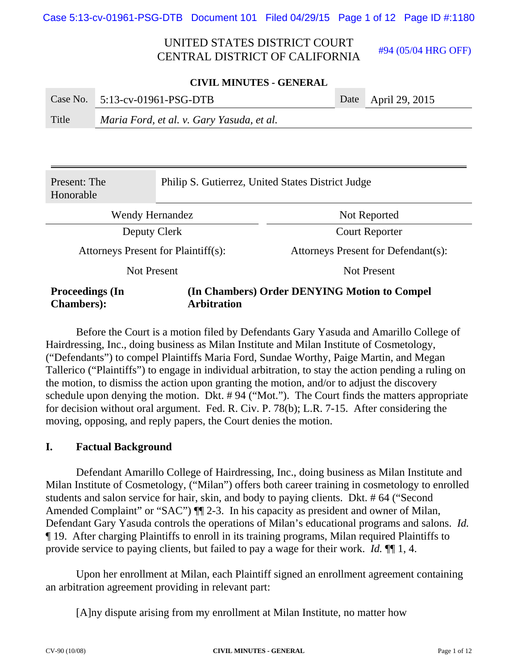#94 (05/04 HRG OFF)

#### **CIVIL MINUTES - GENERAL**

|       | Case No. $5:13$ -cv-01961-PSG-DTB         | Date April 29, 2015 |
|-------|-------------------------------------------|---------------------|
| Title | Maria Ford, et al. v. Gary Yasuda, et al. |                     |

| Present: The<br>Honorable                                        | Philip S. Gutierrez, United States District Judge |                                              |  |  |
|------------------------------------------------------------------|---------------------------------------------------|----------------------------------------------|--|--|
| Wendy Hernandez                                                  |                                                   | Not Reported                                 |  |  |
| Deputy Clerk                                                     |                                                   | <b>Court Reporter</b>                        |  |  |
| Attorneys Present for Plaintiff(s):                              |                                                   | Attorneys Present for Defendant(s):          |  |  |
| <b>Not Present</b>                                               |                                                   | Not Present                                  |  |  |
| <b>Proceedings (In</b><br><b>Chambers:</b><br><b>Arbitration</b> |                                                   | (In Chambers) Order DENYING Motion to Compel |  |  |

Before the Court is a motion filed by Defendants Gary Yasuda and Amarillo College of Hairdressing, Inc., doing business as Milan Institute and Milan Institute of Cosmetology, ("Defendants") to compel Plaintiffs Maria Ford, Sundae Worthy, Paige Martin, and Megan Tallerico ("Plaintiffs") to engage in individual arbitration, to stay the action pending a ruling on the motion, to dismiss the action upon granting the motion, and/or to adjust the discovery schedule upon denying the motion. Dkt. # 94 ("Mot."). The Court finds the matters appropriate for decision without oral argument. Fed. R. Civ. P. 78(b); L.R. 7-15. After considering the moving, opposing, and reply papers, the Court denies the motion.

#### **I. Factual Background**

Defendant Amarillo College of Hairdressing, Inc., doing business as Milan Institute and Milan Institute of Cosmetology, ("Milan") offers both career training in cosmetology to enrolled students and salon service for hair, skin, and body to paying clients. Dkt. # 64 ("Second Amended Complaint" or "SAC")  $\P$  2-3. In his capacity as president and owner of Milan, Defendant Gary Yasuda controls the operations of Milan's educational programs and salons. *Id.* ¶ 19. After charging Plaintiffs to enroll in its training programs, Milan required Plaintiffs to provide service to paying clients, but failed to pay a wage for their work. *Id.* ¶¶ 1, 4.

Upon her enrollment at Milan, each Plaintiff signed an enrollment agreement containing an arbitration agreement providing in relevant part:

[A]ny dispute arising from my enrollment at Milan Institute, no matter how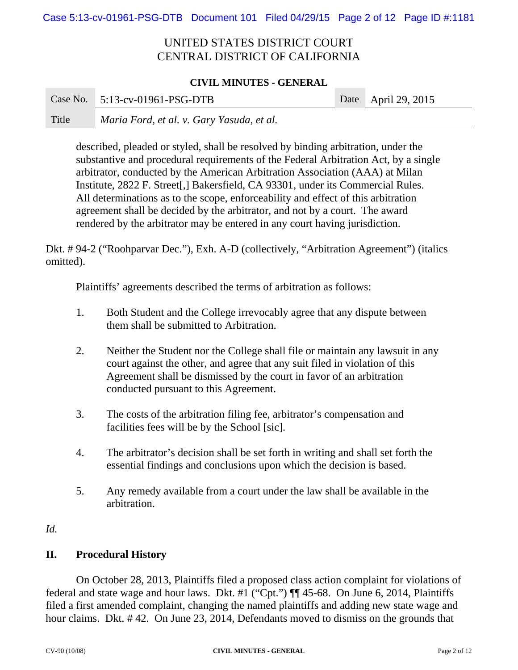#### **CIVIL MINUTES - GENERAL**

|       | Case No. 5:13-cv-01961-PSG-DTB            | Date April 29, 2015 |
|-------|-------------------------------------------|---------------------|
| Title | Maria Ford, et al. v. Gary Yasuda, et al. |                     |

described, pleaded or styled, shall be resolved by binding arbitration, under the substantive and procedural requirements of the Federal Arbitration Act, by a single arbitrator, conducted by the American Arbitration Association (AAA) at Milan Institute, 2822 F. Street[,] Bakersfield, CA 93301, under its Commercial Rules. All determinations as to the scope, enforceability and effect of this arbitration agreement shall be decided by the arbitrator, and not by a court. The award rendered by the arbitrator may be entered in any court having jurisdiction.

Dkt. # 94-2 ("Roohparvar Dec."), Exh. A-D (collectively, "Arbitration Agreement") (italics omitted).

Plaintiffs' agreements described the terms of arbitration as follows:

- 1. Both Student and the College irrevocably agree that any dispute between them shall be submitted to Arbitration.
- 2. Neither the Student nor the College shall file or maintain any lawsuit in any court against the other, and agree that any suit filed in violation of this Agreement shall be dismissed by the court in favor of an arbitration conducted pursuant to this Agreement.
- 3. The costs of the arbitration filing fee, arbitrator's compensation and facilities fees will be by the School [sic].
- 4. The arbitrator's decision shall be set forth in writing and shall set forth the essential findings and conclusions upon which the decision is based.
- 5. Any remedy available from a court under the law shall be available in the arbitration.

### *Id.*

## **II. Procedural History**

On October 28, 2013, Plaintiffs filed a proposed class action complaint for violations of federal and state wage and hour laws. Dkt. #1 ("Cpt.") ¶¶ 45-68. On June 6, 2014, Plaintiffs filed a first amended complaint, changing the named plaintiffs and adding new state wage and hour claims. Dkt. # 42. On June 23, 2014, Defendants moved to dismiss on the grounds that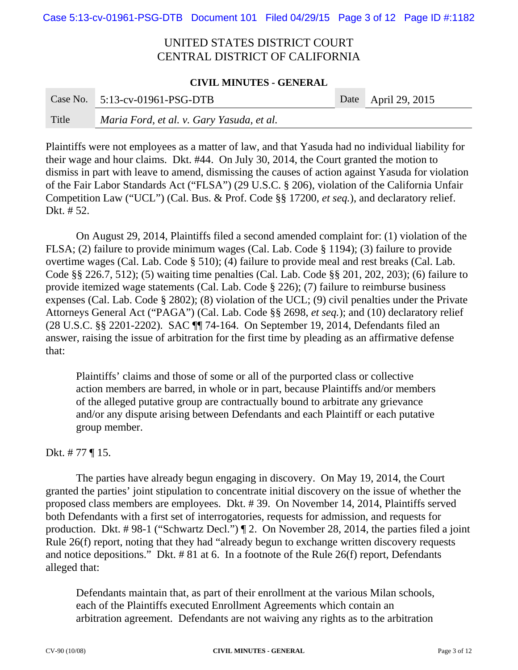#### **CIVIL MINUTES - GENERAL**

|       | Case No. $5:13$ -cv-01961-PSG-DTB         | Date April 29, 2015 |
|-------|-------------------------------------------|---------------------|
| Title | Maria Ford, et al. v. Gary Yasuda, et al. |                     |

Plaintiffs were not employees as a matter of law, and that Yasuda had no individual liability for their wage and hour claims. Dkt. #44. On July 30, 2014, the Court granted the motion to dismiss in part with leave to amend, dismissing the causes of action against Yasuda for violation of the Fair Labor Standards Act ("FLSA") (29 U.S.C. § 206), violation of the California Unfair Competition Law ("UCL") (Cal. Bus. & Prof. Code §§ 17200, *et seq.*), and declaratory relief. Dkt. # 52.

On August 29, 2014, Plaintiffs filed a second amended complaint for: (1) violation of the FLSA; (2) failure to provide minimum wages (Cal. Lab. Code § 1194); (3) failure to provide overtime wages (Cal. Lab. Code § 510); (4) failure to provide meal and rest breaks (Cal. Lab. Code §§ 226.7, 512); (5) waiting time penalties (Cal. Lab. Code §§ 201, 202, 203); (6) failure to provide itemized wage statements (Cal. Lab. Code § 226); (7) failure to reimburse business expenses (Cal. Lab. Code § 2802); (8) violation of the UCL; (9) civil penalties under the Private Attorneys General Act ("PAGA") (Cal. Lab. Code §§ 2698, *et seq.*); and (10) declaratory relief (28 U.S.C. §§ 2201-2202). SAC ¶¶ 74-164. On September 19, 2014, Defendants filed an answer, raising the issue of arbitration for the first time by pleading as an affirmative defense that:

Plaintiffs' claims and those of some or all of the purported class or collective action members are barred, in whole or in part, because Plaintiffs and/or members of the alleged putative group are contractually bound to arbitrate any grievance and/or any dispute arising between Defendants and each Plaintiff or each putative group member.

### Dkt. # 77 ¶ 15.

The parties have already begun engaging in discovery. On May 19, 2014, the Court granted the parties' joint stipulation to concentrate initial discovery on the issue of whether the proposed class members are employees. Dkt. # 39. On November 14, 2014, Plaintiffs served both Defendants with a first set of interrogatories, requests for admission, and requests for production. Dkt. # 98-1 ("Schwartz Decl.") ¶ 2. On November 28, 2014, the parties filed a joint Rule 26(f) report, noting that they had "already begun to exchange written discovery requests and notice depositions." Dkt. # 81 at 6. In a footnote of the Rule 26(f) report, Defendants alleged that:

Defendants maintain that, as part of their enrollment at the various Milan schools, each of the Plaintiffs executed Enrollment Agreements which contain an arbitration agreement. Defendants are not waiving any rights as to the arbitration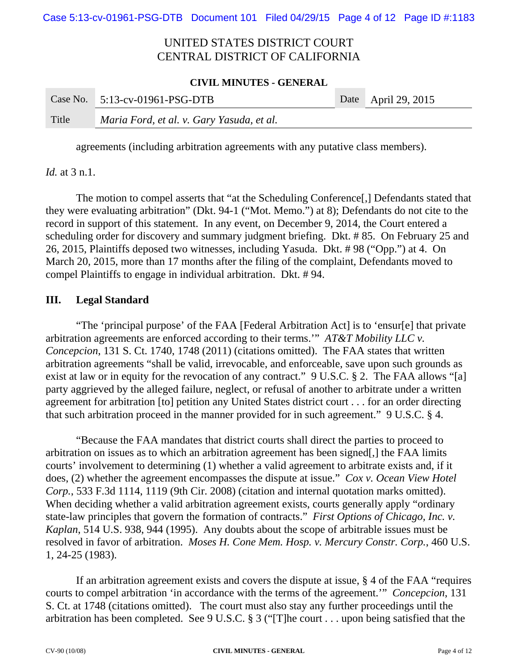#### **CIVIL MINUTES - GENERAL**

|       | Case No. $5:13$ -cv-01961-PSG-DTB         | Date April 29, 2015 |
|-------|-------------------------------------------|---------------------|
| Title | Maria Ford, et al. v. Gary Yasuda, et al. |                     |

agreements (including arbitration agreements with any putative class members).

*Id.* at 3 n.1.

The motion to compel asserts that "at the Scheduling Conference[,] Defendants stated that they were evaluating arbitration" (Dkt. 94-1 ("Mot. Memo.") at 8); Defendants do not cite to the record in support of this statement. In any event, on December 9, 2014, the Court entered a scheduling order for discovery and summary judgment briefing. Dkt. # 85. On February 25 and 26, 2015, Plaintiffs deposed two witnesses, including Yasuda. Dkt. # 98 ("Opp.") at 4. On March 20, 2015, more than 17 months after the filing of the complaint, Defendants moved to compel Plaintiffs to engage in individual arbitration. Dkt. # 94.

### **III. Legal Standard**

"The 'principal purpose' of the FAA [Federal Arbitration Act] is to 'ensur[e] that private arbitration agreements are enforced according to their terms.'" *AT&T Mobility LLC v. Concepcion*, 131 S. Ct. 1740, 1748 (2011) (citations omitted). The FAA states that written arbitration agreements "shall be valid, irrevocable, and enforceable, save upon such grounds as exist at law or in equity for the revocation of any contract." 9 U.S.C. § 2. The FAA allows "[a] party aggrieved by the alleged failure, neglect, or refusal of another to arbitrate under a written agreement for arbitration [to] petition any United States district court . . . for an order directing that such arbitration proceed in the manner provided for in such agreement." 9 U.S.C. § 4.

"Because the FAA mandates that district courts shall direct the parties to proceed to arbitration on issues as to which an arbitration agreement has been signed[,] the FAA limits courts' involvement to determining (1) whether a valid agreement to arbitrate exists and, if it does, (2) whether the agreement encompasses the dispute at issue." *Cox v. Ocean View Hotel Corp.*, 533 F.3d 1114, 1119 (9th Cir. 2008) (citation and internal quotation marks omitted). When deciding whether a valid arbitration agreement exists, courts generally apply "ordinary" state-law principles that govern the formation of contracts." *First Options of Chicago, Inc. v. Kaplan*, 514 U.S. 938, 944 (1995). Any doubts about the scope of arbitrable issues must be resolved in favor of arbitration. *Moses H. Cone Mem. Hosp. v. Mercury Constr. Corp.*, 460 U.S. 1, 24-25 (1983).

If an arbitration agreement exists and covers the dispute at issue, § 4 of the FAA "requires courts to compel arbitration 'in accordance with the terms of the agreement.'" *Concepcion*, 131 S. Ct. at 1748 (citations omitted). The court must also stay any further proceedings until the arbitration has been completed. See 9 U.S.C. § 3 ("[T]he court . . . upon being satisfied that the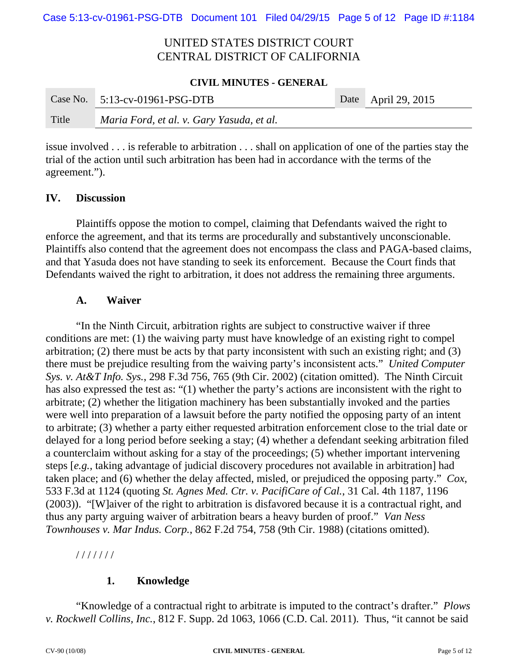#### **CIVIL MINUTES - GENERAL**

|       | Case No. $5:13$ -cv-01961-PSG-DTB         | Date April 29, 2015 |
|-------|-------------------------------------------|---------------------|
| Title | Maria Ford, et al. v. Gary Yasuda, et al. |                     |

issue involved . . . is referable to arbitration . . . shall on application of one of the parties stay the trial of the action until such arbitration has been had in accordance with the terms of the agreement.").

### **IV. Discussion**

Plaintiffs oppose the motion to compel, claiming that Defendants waived the right to enforce the agreement, and that its terms are procedurally and substantively unconscionable. Plaintiffs also contend that the agreement does not encompass the class and PAGA-based claims, and that Yasuda does not have standing to seek its enforcement. Because the Court finds that Defendants waived the right to arbitration, it does not address the remaining three arguments.

### **A. Waiver**

"In the Ninth Circuit, arbitration rights are subject to constructive waiver if three conditions are met: (1) the waiving party must have knowledge of an existing right to compel arbitration; (2) there must be acts by that party inconsistent with such an existing right; and (3) there must be prejudice resulting from the waiving party's inconsistent acts." *United Computer Sys. v. At&T Info. Sys.*, 298 F.3d 756, 765 (9th Cir. 2002) (citation omitted). The Ninth Circuit has also expressed the test as: "(1) whether the party's actions are inconsistent with the right to arbitrate; (2) whether the litigation machinery has been substantially invoked and the parties were well into preparation of a lawsuit before the party notified the opposing party of an intent to arbitrate; (3) whether a party either requested arbitration enforcement close to the trial date or delayed for a long period before seeking a stay; (4) whether a defendant seeking arbitration filed a counterclaim without asking for a stay of the proceedings; (5) whether important intervening steps [*e.g.*, taking advantage of judicial discovery procedures not available in arbitration] had taken place; and (6) whether the delay affected, misled, or prejudiced the opposing party." *Cox*, 533 F.3d at 1124 (quoting *St. Agnes Med. Ctr. v. PacifiCare of Cal.*, 31 Cal. 4th 1187, 1196 (2003)). "[W]aiver of the right to arbitration is disfavored because it is a contractual right, and thus any party arguing waiver of arbitration bears a heavy burden of proof." *Van Ness Townhouses v. Mar Indus. Corp.*, 862 F.2d 754, 758 (9th Cir. 1988) (citations omitted).

/ / / / / / /

## **1. Knowledge**

"Knowledge of a contractual right to arbitrate is imputed to the contract's drafter." *Plows v. Rockwell Collins, Inc.*, 812 F. Supp. 2d 1063, 1066 (C.D. Cal. 2011). Thus, "it cannot be said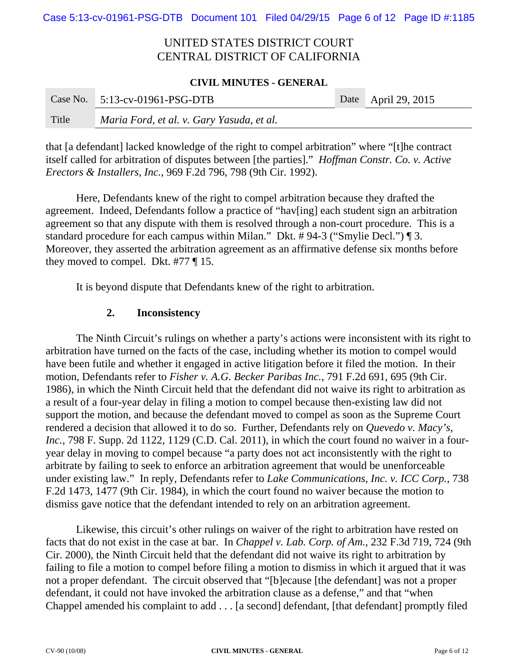#### **CIVIL MINUTES - GENERAL**

|       | Case No. $5:13$ -cv-01961-PSG-DTB         | Date April 29, 2015 |
|-------|-------------------------------------------|---------------------|
| Title | Maria Ford, et al. v. Gary Yasuda, et al. |                     |

that [a defendant] lacked knowledge of the right to compel arbitration" where "[t]he contract itself called for arbitration of disputes between [the parties]." *Hoffman Constr. Co. v. Active Erectors & Installers, Inc.*, 969 F.2d 796, 798 (9th Cir. 1992).

Here, Defendants knew of the right to compel arbitration because they drafted the agreement. Indeed, Defendants follow a practice of "hav[ing] each student sign an arbitration agreement so that any dispute with them is resolved through a non-court procedure. This is a standard procedure for each campus within Milan." Dkt. # 94-3 ("Smylie Decl.") ¶ 3. Moreover, they asserted the arbitration agreement as an affirmative defense six months before they moved to compel. Dkt. #77 ¶ 15.

It is beyond dispute that Defendants knew of the right to arbitration.

### **2. Inconsistency**

The Ninth Circuit's rulings on whether a party's actions were inconsistent with its right to arbitration have turned on the facts of the case, including whether its motion to compel would have been futile and whether it engaged in active litigation before it filed the motion. In their motion, Defendants refer to *Fisher v. A.G. Becker Paribas Inc.*, 791 F.2d 691, 695 (9th Cir. 1986), in which the Ninth Circuit held that the defendant did not waive its right to arbitration as a result of a four-year delay in filing a motion to compel because then-existing law did not support the motion, and because the defendant moved to compel as soon as the Supreme Court rendered a decision that allowed it to do so. Further, Defendants rely on *Quevedo v. Macy's, Inc.*, 798 F. Supp. 2d 1122, 1129 (C.D. Cal. 2011), in which the court found no waiver in a fouryear delay in moving to compel because "a party does not act inconsistently with the right to arbitrate by failing to seek to enforce an arbitration agreement that would be unenforceable under existing law." In reply, Defendants refer to *Lake Communications, Inc. v. ICC Corp.*, 738 F.2d 1473, 1477 (9th Cir. 1984), in which the court found no waiver because the motion to dismiss gave notice that the defendant intended to rely on an arbitration agreement.

Likewise, this circuit's other rulings on waiver of the right to arbitration have rested on facts that do not exist in the case at bar. In *Chappel v. Lab. Corp. of Am.*, 232 F.3d 719, 724 (9th Cir. 2000), the Ninth Circuit held that the defendant did not waive its right to arbitration by failing to file a motion to compel before filing a motion to dismiss in which it argued that it was not a proper defendant. The circuit observed that "[b]ecause [the defendant] was not a proper defendant, it could not have invoked the arbitration clause as a defense," and that "when Chappel amended his complaint to add . . . [a second] defendant, [that defendant] promptly filed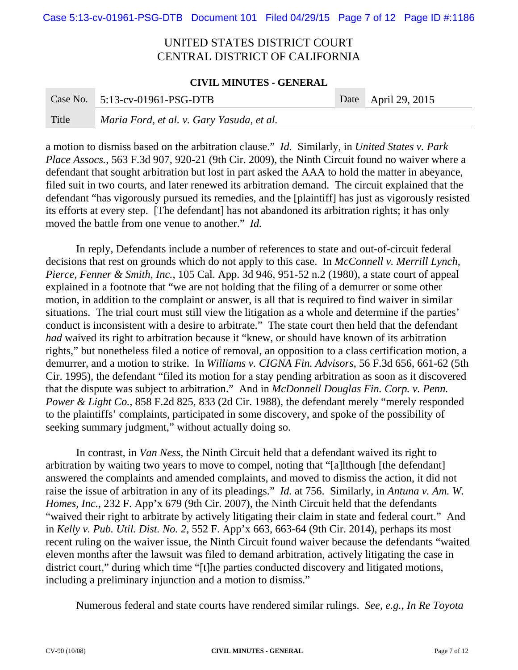#### **CIVIL MINUTES - GENERAL**

|       | Case No. $5:13$ -cv-01961-PSG-DTB         | Date April 29, 2015 |
|-------|-------------------------------------------|---------------------|
| Title | Maria Ford, et al. v. Gary Yasuda, et al. |                     |

a motion to dismiss based on the arbitration clause." *Id.* Similarly, in *United States v. Park Place Assocs.*, 563 F.3d 907, 920-21 (9th Cir. 2009), the Ninth Circuit found no waiver where a defendant that sought arbitration but lost in part asked the AAA to hold the matter in abeyance, filed suit in two courts, and later renewed its arbitration demand. The circuit explained that the defendant "has vigorously pursued its remedies, and the [plaintiff] has just as vigorously resisted its efforts at every step. [The defendant] has not abandoned its arbitration rights; it has only moved the battle from one venue to another." *Id.*

In reply, Defendants include a number of references to state and out-of-circuit federal decisions that rest on grounds which do not apply to this case. In *McConnell v. Merrill Lynch, Pierce, Fenner & Smith, Inc.*, 105 Cal. App. 3d 946, 951-52 n.2 (1980), a state court of appeal explained in a footnote that "we are not holding that the filing of a demurrer or some other motion, in addition to the complaint or answer, is all that is required to find waiver in similar situations. The trial court must still view the litigation as a whole and determine if the parties' conduct is inconsistent with a desire to arbitrate." The state court then held that the defendant *had* waived its right to arbitration because it "knew, or should have known of its arbitration rights," but nonetheless filed a notice of removal, an opposition to a class certification motion, a demurrer, and a motion to strike. In *Williams v. CIGNA Fin. Advisors*, 56 F.3d 656, 661-62 (5th Cir. 1995), the defendant "filed its motion for a stay pending arbitration as soon as it discovered that the dispute was subject to arbitration." And in *McDonnell Douglas Fin. Corp. v. Penn. Power & Light Co.*, 858 F.2d 825, 833 (2d Cir. 1988), the defendant merely "merely responded to the plaintiffs' complaints, participated in some discovery, and spoke of the possibility of seeking summary judgment," without actually doing so.

In contrast, in *Van Ness,* the Ninth Circuit held that a defendant waived its right to arbitration by waiting two years to move to compel, noting that "[a]lthough [the defendant] answered the complaints and amended complaints, and moved to dismiss the action, it did not raise the issue of arbitration in any of its pleadings." *Id.* at 756. Similarly, in *Antuna v. Am. W. Homes, Inc.*, 232 F. App'x 679 (9th Cir. 2007), the Ninth Circuit held that the defendants "waived their right to arbitrate by actively litigating their claim in state and federal court." And in *Kelly v. Pub. Util. Dist. No. 2*, 552 F. App'x 663, 663-64 (9th Cir. 2014), perhaps its most recent ruling on the waiver issue, the Ninth Circuit found waiver because the defendants "waited eleven months after the lawsuit was filed to demand arbitration, actively litigating the case in district court," during which time "[t]he parties conducted discovery and litigated motions, including a preliminary injunction and a motion to dismiss."

Numerous federal and state courts have rendered similar rulings. *See, e.g., In Re Toyota*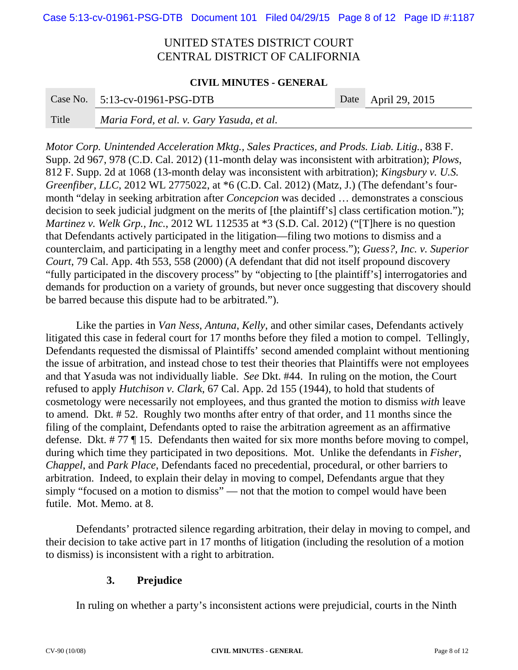#### **CIVIL MINUTES - GENERAL**

|       | Case No. $5:13$ -cv-01961-PSG-DTB         | Date April 29, 2015 |
|-------|-------------------------------------------|---------------------|
| Title | Maria Ford, et al. v. Gary Yasuda, et al. |                     |

*Motor Corp. Unintended Acceleration Mktg., Sales Practices, and Prods. Liab. Litig.*, 838 F. Supp. 2d 967, 978 (C.D. Cal. 2012) (11-month delay was inconsistent with arbitration); *Plows*, 812 F. Supp. 2d at 1068 (13-month delay was inconsistent with arbitration); *Kingsbury v. U.S. Greenfiber, LLC*, 2012 WL 2775022, at  $*6$  (C.D. Cal. 2012) (Matz, J.) (The defendant's fourmonth "delay in seeking arbitration after *Concepcion* was decided … demonstrates a conscious decision to seek judicial judgment on the merits of [the plaintiff's] class certification motion."); *Martinez v. Welk Grp., Inc.*, 2012 WL 112535 at \*3 (S.D. Cal. 2012) ("[T]here is no question that Defendants actively participated in the litigation—filing two motions to dismiss and a counterclaim, and participating in a lengthy meet and confer process."); *Guess?, Inc. v. Superior Court*, 79 Cal. App. 4th 553, 558 (2000) (A defendant that did not itself propound discovery "fully participated in the discovery process" by "objecting to [the plaintiff's] interrogatories and demands for production on a variety of grounds, but never once suggesting that discovery should be barred because this dispute had to be arbitrated.").

Like the parties in *Van Ness*, *Antuna*, *Kelly*, and other similar cases, Defendants actively litigated this case in federal court for 17 months before they filed a motion to compel. Tellingly, Defendants requested the dismissal of Plaintiffs' second amended complaint without mentioning the issue of arbitration, and instead chose to test their theories that Plaintiffs were not employees and that Yasuda was not individually liable. *See* Dkt. #44. In ruling on the motion, the Court refused to apply *Hutchison v. Clark*, 67 Cal. App. 2d 155 (1944), to hold that students of cosmetology were necessarily not employees, and thus granted the motion to dismiss *with* leave to amend. Dkt. # 52. Roughly two months after entry of that order, and 11 months since the filing of the complaint, Defendants opted to raise the arbitration agreement as an affirmative defense. Dkt. # 77 ¶ 15. Defendants then waited for six more months before moving to compel, during which time they participated in two depositions. Mot. Unlike the defendants in *Fisher*, *Chappel*, and *Park Place*, Defendants faced no precedential, procedural, or other barriers to arbitration. Indeed, to explain their delay in moving to compel, Defendants argue that they simply "focused on a motion to dismiss" — not that the motion to compel would have been futile. Mot. Memo. at 8.

Defendants' protracted silence regarding arbitration, their delay in moving to compel, and their decision to take active part in 17 months of litigation (including the resolution of a motion to dismiss) is inconsistent with a right to arbitration.

### **3. Prejudice**

In ruling on whether a party's inconsistent actions were prejudicial, courts in the Ninth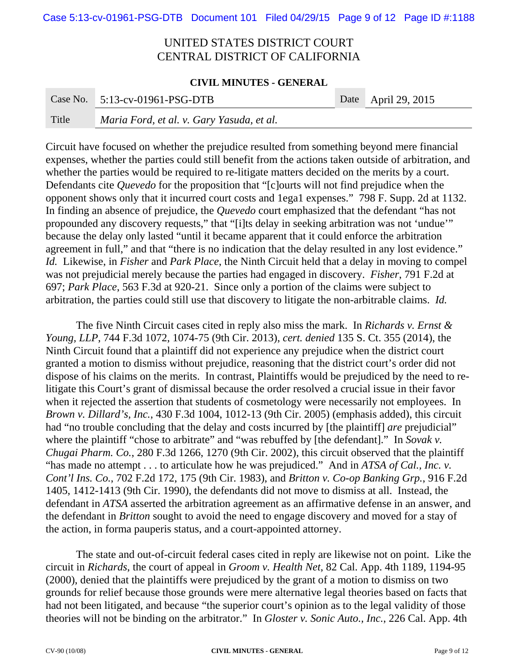#### **CIVIL MINUTES - GENERAL**

|       | Case No. $5:13$ -cv-01961-PSG-DTB         | Date April 29, 2015 |
|-------|-------------------------------------------|---------------------|
| Title | Maria Ford, et al. v. Gary Yasuda, et al. |                     |

Circuit have focused on whether the prejudice resulted from something beyond mere financial expenses, whether the parties could still benefit from the actions taken outside of arbitration, and whether the parties would be required to re-litigate matters decided on the merits by a court. Defendants cite *Quevedo* for the proposition that "[c]ourts will not find prejudice when the opponent shows only that it incurred court costs and 1ega1 expenses." 798 F. Supp. 2d at 1132. In finding an absence of prejudice, the *Quevedo* court emphasized that the defendant "has not propounded any discovery requests," that "[i]ts delay in seeking arbitration was not 'undue'" because the delay only lasted "until it became apparent that it could enforce the arbitration agreement in full," and that "there is no indication that the delay resulted in any lost evidence." *Id.* Likewise, in *Fisher* and *Park Place*, the Ninth Circuit held that a delay in moving to compel was not prejudicial merely because the parties had engaged in discovery. *Fisher*, 791 F.2d at 697; *Park Place*, 563 F.3d at 920-21. Since only a portion of the claims were subject to arbitration, the parties could still use that discovery to litigate the non-arbitrable claims. *Id.*

The five Ninth Circuit cases cited in reply also miss the mark. In *Richards v. Ernst & Young, LLP*, 744 F.3d 1072, 1074-75 (9th Cir. 2013), *cert. denied* 135 S. Ct. 355 (2014), the Ninth Circuit found that a plaintiff did not experience any prejudice when the district court granted a motion to dismiss without prejudice, reasoning that the district court's order did not dispose of his claims on the merits. In contrast, Plaintiffs would be prejudiced by the need to relitigate this Court's grant of dismissal because the order resolved a crucial issue in their favor when it rejected the assertion that students of cosmetology were necessarily not employees. In *Brown v. Dillard's, Inc.*, 430 F.3d 1004, 1012-13 (9th Cir. 2005) (emphasis added), this circuit had "no trouble concluding that the delay and costs incurred by [the plaintiff] *are* prejudicial" where the plaintiff "chose to arbitrate" and "was rebuffed by [the defendant]." In *Sovak v*. *Chugai Pharm. Co.*, 280 F.3d 1266, 1270 (9th Cir. 2002), this circuit observed that the plaintiff "has made no attempt . . . to articulate how he was prejudiced." And in *ATSA of Cal., Inc. v. Cont'l Ins. Co.*, 702 F.2d 172, 175 (9th Cir. 1983), and *Britton v. Co-op Banking Grp.*, 916 F.2d 1405, 1412-1413 (9th Cir. 1990), the defendants did not move to dismiss at all. Instead, the defendant in *ATSA* asserted the arbitration agreement as an affirmative defense in an answer, and the defendant in *Britton* sought to avoid the need to engage discovery and moved for a stay of the action, in forma pauperis status, and a court-appointed attorney.

The state and out-of-circuit federal cases cited in reply are likewise not on point. Like the circuit in *Richards*, the court of appeal in *Groom v. Health Net*, 82 Cal. App. 4th 1189, 1194-95 (2000), denied that the plaintiffs were prejudiced by the grant of a motion to dismiss on two grounds for relief because those grounds were mere alternative legal theories based on facts that had not been litigated, and because "the superior court's opinion as to the legal validity of those theories will not be binding on the arbitrator." In *Gloster v. Sonic Auto., Inc.*, 226 Cal. App. 4th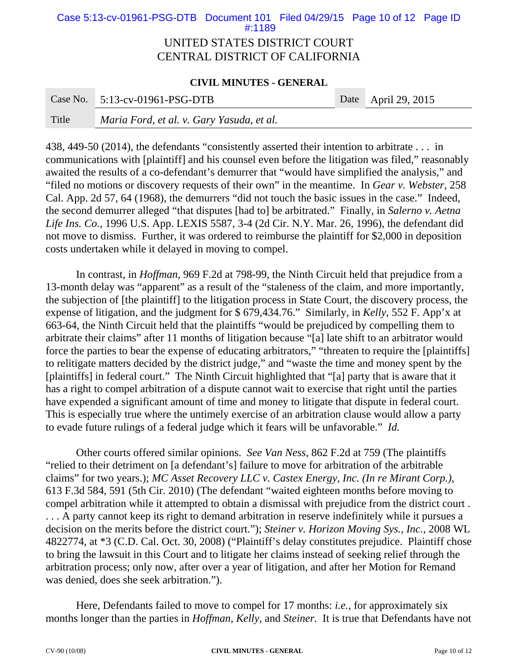## UNITED STATES DISTRICT COURT Case 5:13-cv-01961-PSG-DTB Document 101 Filed 04/29/15 Page 10 of 12 Page ID #:1189

# CENTRAL DISTRICT OF CALIFORNIA

#### **CIVIL MINUTES - GENERAL**

|       | Case No. $5:13$ -cv-01961-PSG-DTB         | Date April 29, 2015 |
|-------|-------------------------------------------|---------------------|
| Title | Maria Ford, et al. v. Gary Yasuda, et al. |                     |

438, 449-50 (2014), the defendants "consistently asserted their intention to arbitrate . . . in communications with [plaintiff] and his counsel even before the litigation was filed," reasonably awaited the results of a co-defendant's demurrer that "would have simplified the analysis," and "filed no motions or discovery requests of their own" in the meantime. In *Gear v. Webster*, 258 Cal. App. 2d 57, 64 (1968), the demurrers "did not touch the basic issues in the case." Indeed, the second demurrer alleged "that disputes [had to] be arbitrated." Finally, in *Salerno v. Aetna Life Ins. Co.*, 1996 U.S. App. LEXIS 5587, 3-4 (2d Cir. N.Y. Mar. 26, 1996), the defendant did not move to dismiss. Further, it was ordered to reimburse the plaintiff for \$2,000 in deposition costs undertaken while it delayed in moving to compel.

In contrast, in *Hoffman*, 969 F.2d at 798-99, the Ninth Circuit held that prejudice from a 13-month delay was "apparent" as a result of the "staleness of the claim, and more importantly, the subjection of [the plaintiff] to the litigation process in State Court, the discovery process, the expense of litigation, and the judgment for \$ 679,434.76." Similarly, in *Kelly*, 552 F. App'x at 663-64, the Ninth Circuit held that the plaintiffs "would be prejudiced by compelling them to arbitrate their claims" after 11 months of litigation because "[a] late shift to an arbitrator would force the parties to bear the expense of educating arbitrators," "threaten to require the [plaintiffs] to relitigate matters decided by the district judge," and "waste the time and money spent by the [plaintiffs] in federal court." The Ninth Circuit highlighted that "[a] party that is aware that it has a right to compel arbitration of a dispute cannot wait to exercise that right until the parties have expended a significant amount of time and money to litigate that dispute in federal court. This is especially true where the untimely exercise of an arbitration clause would allow a party to evade future rulings of a federal judge which it fears will be unfavorable." *Id.*

Other courts offered similar opinions. *See Van Ness*, 862 F.2d at 759 (The plaintiffs "relied to their detriment on [a defendant's] failure to move for arbitration of the arbitrable claims" for two years.); *MC Asset Recovery LLC v. Castex Energy, Inc. (In re Mirant Corp.)*, 613 F.3d 584, 591 (5th Cir. 2010) (The defendant "waited eighteen months before moving to compel arbitration while it attempted to obtain a dismissal with prejudice from the district court . . . . A party cannot keep its right to demand arbitration in reserve indefinitely while it pursues a decision on the merits before the district court."); *Steiner v. Horizon Moving Sys., Inc.*, 2008 WL 4822774, at \*3 (C.D. Cal. Oct. 30, 2008) ("Plaintiff's delay constitutes prejudice. Plaintiff chose to bring the lawsuit in this Court and to litigate her claims instead of seeking relief through the arbitration process; only now, after over a year of litigation, and after her Motion for Remand was denied, does she seek arbitration.").

Here, Defendants failed to move to compel for 17 months: *i.e.*, for approximately six months longer than the parties in *Hoffman*, *Kelly*, and *Steiner.* It is true that Defendants have not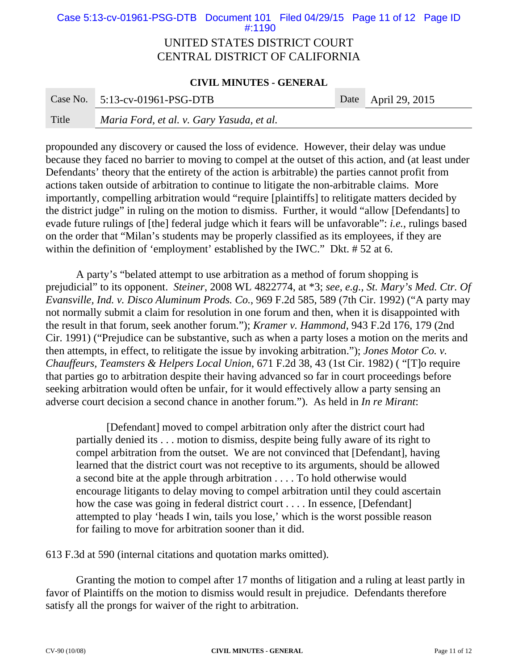## UNITED STATES DISTRICT COURT Case 5:13-cv-01961-PSG-DTB Document 101 Filed 04/29/15 Page 11 of 12 Page ID #:1190

# CENTRAL DISTRICT OF CALIFORNIA

#### **CIVIL MINUTES - GENERAL**

|       | Case No. $5:13$ -cv-01961-PSG-DTB         | Date   April 29, 2015 |
|-------|-------------------------------------------|-----------------------|
| Title | Maria Ford, et al. v. Gary Yasuda, et al. |                       |

propounded any discovery or caused the loss of evidence. However, their delay was undue because they faced no barrier to moving to compel at the outset of this action, and (at least under Defendants' theory that the entirety of the action is arbitrable) the parties cannot profit from actions taken outside of arbitration to continue to litigate the non-arbitrable claims. More importantly, compelling arbitration would "require [plaintiffs] to relitigate matters decided by the district judge" in ruling on the motion to dismiss. Further, it would "allow [Defendants] to evade future rulings of [the] federal judge which it fears will be unfavorable": *i.e.*, rulings based on the order that "Milan's students may be properly classified as its employees, if they are within the definition of 'employment' established by the IWC." Dkt. #52 at 6.

A party's "belated attempt to use arbitration as a method of forum shopping is prejudicial" to its opponent. *Steiner*, 2008 WL 4822774, at \*3; *see, e.g.*, *St. Mary's Med. Ctr. Of Evansville, Ind. v. Disco Aluminum Prods. Co.*, 969 F.2d 585, 589 (7th Cir. 1992) ("A party may not normally submit a claim for resolution in one forum and then, when it is disappointed with the result in that forum, seek another forum."); *Kramer v. Hammond*, 943 F.2d 176, 179 (2nd Cir. 1991) ("Prejudice can be substantive, such as when a party loses a motion on the merits and then attempts, in effect, to relitigate the issue by invoking arbitration."); *Jones Motor Co. v. Chauffeurs, Teamsters & Helpers Local Union*, 671 F.2d 38, 43 (1st Cir. 1982) ( "[T]o require that parties go to arbitration despite their having advanced so far in court proceedings before seeking arbitration would often be unfair, for it would effectively allow a party sensing an adverse court decision a second chance in another forum."). As held in *In re Mirant*:

[Defendant] moved to compel arbitration only after the district court had partially denied its . . . motion to dismiss, despite being fully aware of its right to compel arbitration from the outset. We are not convinced that [Defendant], having learned that the district court was not receptive to its arguments, should be allowed a second bite at the apple through arbitration . . . . To hold otherwise would encourage litigants to delay moving to compel arbitration until they could ascertain how the case was going in federal district court . . . . In essence, [Defendant] attempted to play 'heads I win, tails you lose,' which is the worst possible reason for failing to move for arbitration sooner than it did.

613 F.3d at 590 (internal citations and quotation marks omitted).

Granting the motion to compel after 17 months of litigation and a ruling at least partly in favor of Plaintiffs on the motion to dismiss would result in prejudice. Defendants therefore satisfy all the prongs for waiver of the right to arbitration.